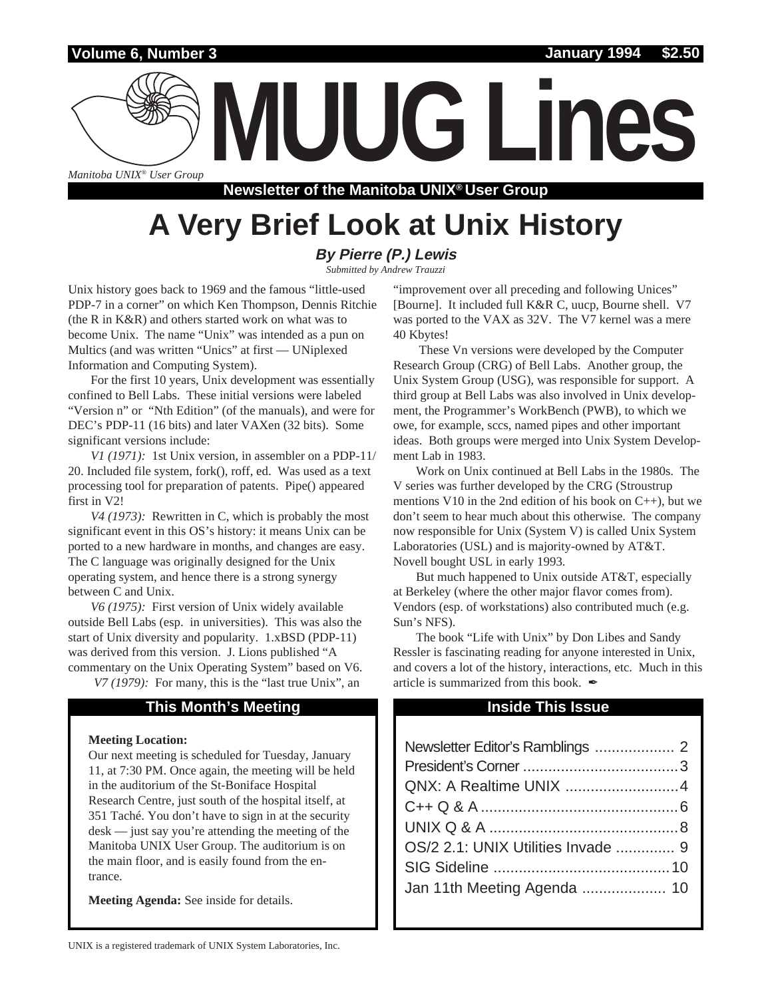## **Volume 6, Number 3**

*Manitoba UNIX® User Group*

**Newsletter of the Manitoba UNIX® User Group**

**MUUG Lines**

# **A Very Brief Look at Unix History**

## **By Pierre (P.) Lewis**

*Submitted by Andrew Trauzzi*

Unix history goes back to 1969 and the famous "little-used PDP-7 in a corner" on which Ken Thompson, Dennis Ritchie (the R in K&R) and others started work on what was to become Unix. The name "Unix" was intended as a pun on Multics (and was written "Unics" at first — UNiplexed Information and Computing System).

For the first 10 years, Unix development was essentially confined to Bell Labs. These initial versions were labeled "Version n" or "Nth Edition" (of the manuals), and were for DEC's PDP-11 (16 bits) and later VAXen (32 bits). Some significant versions include:

*V1 (1971):* 1st Unix version, in assembler on a PDP-11/ 20. Included file system, fork(), roff, ed. Was used as a text processing tool for preparation of patents. Pipe() appeared first in V2!

*V4 (1973):* Rewritten in C, which is probably the most significant event in this OS's history: it means Unix can be ported to a new hardware in months, and changes are easy. The C language was originally designed for the Unix operating system, and hence there is a strong synergy between C and Unix.

*V6 (1975):* First version of Unix widely available outside Bell Labs (esp. in universities). This was also the start of Unix diversity and popularity. 1.xBSD (PDP-11) was derived from this version. J. Lions published "A commentary on the Unix Operating System" based on V6.

*V7 (1979):* For many, this is the "last true Unix", an

### **This Month's Meeting Inside This Issue**

#### **Meeting Location:**

Our next meeting is scheduled for Tuesday, January 11, at 7:30 PM. Once again, the meeting will be held in the auditorium of the St-Boniface Hospital Research Centre, just south of the hospital itself, at 351 Taché. You don't have to sign in at the security desk — just say you're attending the meeting of the Manitoba UNIX User Group. The auditorium is on the main floor, and is easily found from the entrance.

**Meeting Agenda:** See inside for details.

"improvement over all preceding and following Unices" [Bourne]. It included full K&R C, uucp, Bourne shell. V7 was ported to the VAX as 32V. The V7 kernel was a mere 40 Kbytes!

 These Vn versions were developed by the Computer Research Group (CRG) of Bell Labs. Another group, the Unix System Group (USG), was responsible for support. A third group at Bell Labs was also involved in Unix development, the Programmer's WorkBench (PWB), to which we owe, for example, sccs, named pipes and other important ideas. Both groups were merged into Unix System Development Lab in 1983.

Work on Unix continued at Bell Labs in the 1980s. The V series was further developed by the CRG (Stroustrup mentions V10 in the 2nd edition of his book on  $C_{++}$ ), but we don't seem to hear much about this otherwise. The company now responsible for Unix (System V) is called Unix System Laboratories (USL) and is majority-owned by AT&T. Novell bought USL in early 1993.

But much happened to Unix outside AT&T, especially at Berkeley (where the other major flavor comes from). Vendors (esp. of workstations) also contributed much (e.g. Sun's NFS).

The book "Life with Unix" by Don Libes and Sandy Ressler is fascinating reading for anyone interested in Unix, and covers a lot of the history, interactions, etc. Much in this article is summarized from this book.  $\blacktriangle$ 

| OS/2 2.1: UNIX Utilities Invade  9 |  |
|------------------------------------|--|
|                                    |  |
|                                    |  |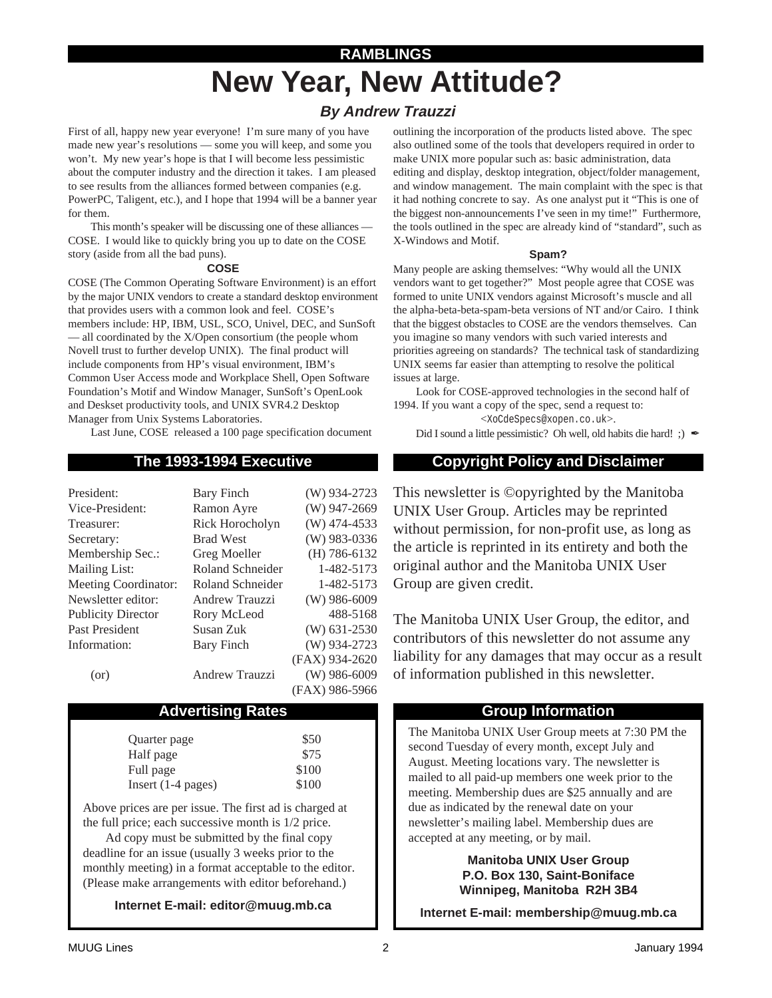# **New Year, New Attitude? RAMBLINGS**

# **By Andrew Trauzzi**

First of all, happy new year everyone! I'm sure many of you have made new year's resolutions — some you will keep, and some you won't. My new year's hope is that I will become less pessimistic about the computer industry and the direction it takes. I am pleased to see results from the alliances formed between companies (e.g. PowerPC, Taligent, etc.), and I hope that 1994 will be a banner year for them.

This month's speaker will be discussing one of these alliances — COSE. I would like to quickly bring you up to date on the COSE story (aside from all the bad puns).

#### **COSE**

COSE (The Common Operating Software Environment) is an effort by the major UNIX vendors to create a standard desktop environment that provides users with a common look and feel. COSE's members include: HP, IBM, USL, SCO, Univel, DEC, and SunSoft — all coordinated by the X/Open consortium (the people whom Novell trust to further develop UNIX). The final product will include components from HP's visual environment, IBM's Common User Access mode and Workplace Shell, Open Software Foundation's Motif and Window Manager, SunSoft's OpenLook and Deskset productivity tools, and UNIX SVR4.2 Desktop Manager from Unix Systems Laboratories.

Last June, COSE released a 100 page specification document

| President:                  | <b>Bary Finch</b>       | $(W)$ 934-2723 |
|-----------------------------|-------------------------|----------------|
| Vice-President:             | Ramon Ayre              | $(W)$ 947-2669 |
| Treasurer:                  | Rick Horocholyn         | $(W)$ 474-4533 |
| Secretary:                  | <b>Brad West</b>        | $(W)$ 983-0336 |
| Membership Sec.:            | Greg Moeller            | $(H)$ 786-6132 |
| <b>Mailing List:</b>        | <b>Roland Schneider</b> | 1-482-5173     |
| <b>Meeting Coordinator:</b> | Roland Schneider        | 1-482-5173     |
| Newsletter editor:          | Andrew Trauzzi          | $(W)$ 986-6009 |
| <b>Publicity Director</b>   | Rory McLeod             | 488-5168       |
| Past President              | Susan Zuk               | $(W)$ 631-2530 |
| Information:                | <b>Bary Finch</b>       | $(W)$ 934-2723 |
|                             |                         | (FAX) 934-2620 |
| (or)                        | <b>Andrew Trauzzi</b>   | $(W)$ 986-6009 |
|                             |                         | (FAX) 986-5966 |

### Advertising Rates **Group Information**

| Quarter page         | \$50  |
|----------------------|-------|
| Half page            | \$75  |
| Full page            | \$100 |
| Insert $(1-4$ pages) | \$100 |

Above prices are per issue. The first ad is charged at the full price; each successive month is 1/2 price.

Ad copy must be submitted by the final copy deadline for an issue (usually 3 weeks prior to the monthly meeting) in a format acceptable to the editor. (Please make arrangements with editor beforehand.)

**Internet E-mail: editor@muug.mb.ca**

outlining the incorporation of the products listed above. The spec also outlined some of the tools that developers required in order to make UNIX more popular such as: basic administration, data editing and display, desktop integration, object/folder management, and window management. The main complaint with the spec is that it had nothing concrete to say. As one analyst put it "This is one of the biggest non-announcements I've seen in my time!" Furthermore, the tools outlined in the spec are already kind of "standard", such as X-Windows and Motif.

#### **Spam?**

Many people are asking themselves: "Why would all the UNIX vendors want to get together?" Most people agree that COSE was formed to unite UNIX vendors against Microsoft's muscle and all the alpha-beta-beta-spam-beta versions of NT and/or Cairo. I think that the biggest obstacles to COSE are the vendors themselves. Can you imagine so many vendors with such varied interests and priorities agreeing on standards? The technical task of standardizing UNIX seems far easier than attempting to resolve the political issues at large.

Look for COSE-approved technologies in the second half of 1994. If you want a copy of the spec, send a request to:

<XoCdeSpecs@xopen.co.uk>.

Did I sound a little pessimistic? Oh well, old habits die hard!;)  $\angle$ 

## **The 1993-1994 Executive Copyright Policy and Disclaimer**

This newsletter is ©opyrighted by the Manitoba UNIX User Group. Articles may be reprinted without permission, for non-profit use, as long as the article is reprinted in its entirety and both the original author and the Manitoba UNIX User Group are given credit.

The Manitoba UNIX User Group, the editor, and contributors of this newsletter do not assume any liability for any damages that may occur as a result of information published in this newsletter.

The Manitoba UNIX User Group meets at 7:30 PM the second Tuesday of every month, except July and August. Meeting locations vary. The newsletter is mailed to all paid-up members one week prior to the meeting. Membership dues are \$25 annually and are due as indicated by the renewal date on your newsletter's mailing label. Membership dues are accepted at any meeting, or by mail.

> **Manitoba UNIX User Group P.O. Box 130, Saint-Boniface Winnipeg, Manitoba R2H 3B4**

**Internet E-mail: membership@muug.mb.ca**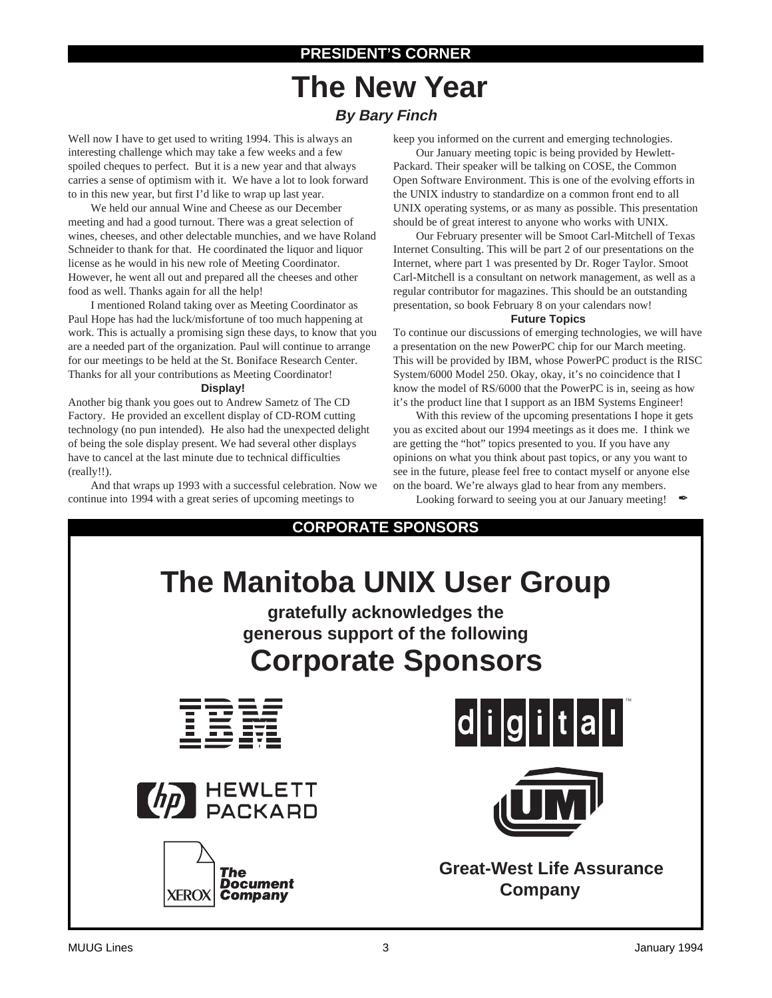# **PRESIDENT'S CORNER**

# **The New Year By Bary Finch**

Well now I have to get used to writing 1994. This is always an interesting challenge which may take a few weeks and a few spoiled cheques to perfect. But it is a new year and that always carries a sense of optimism with it. We have a lot to look forward to in this new year, but first I'd like to wrap up last year.

We held our annual Wine and Cheese as our December meeting and had a good turnout. There was a great selection of wines, cheeses, and other delectable munchies, and we have Roland Schneider to thank for that. He coordinated the liquor and liquor license as he would in his new role of Meeting Coordinator. However, he went all out and prepared all the cheeses and other food as well. Thanks again for all the help!

I mentioned Roland taking over as Meeting Coordinator as Paul Hope has had the luck/misfortune of too much happening at work. This is actually a promising sign these days, to know that you are a needed part of the organization. Paul will continue to arrange for our meetings to be held at the St. Boniface Research Center. Thanks for all your contributions as Meeting Coordinator!

#### **Display!**

Another big thank you goes out to Andrew Sametz of The CD Factory. He provided an excellent display of CD-ROM cutting technology (no pun intended). He also had the unexpected delight of being the sole display present. We had several other displays have to cancel at the last minute due to technical difficulties (really!!).

And that wraps up 1993 with a successful celebration. Now we continue into 1994 with a great series of upcoming meetings to

keep you informed on the current and emerging technologies.

Our January meeting topic is being provided by Hewlett-Packard. Their speaker will be talking on COSE, the Common Open Software Environment. This is one of the evolving efforts in the UNIX industry to standardize on a common front end to all UNIX operating systems, or as many as possible. This presentation should be of great interest to anyone who works with UNIX.

Our February presenter will be Smoot Carl-Mitchell of Texas Internet Consulting. This will be part 2 of our presentations on the Internet, where part 1 was presented by Dr. Roger Taylor. Smoot Carl-Mitchell is a consultant on network management, as well as a regular contributor for magazines. This should be an outstanding presentation, so book February 8 on your calendars now!

#### **Future Topics**

To continue our discussions of emerging technologies, we will have a presentation on the new PowerPC chip for our March meeting. This will be provided by IBM, whose PowerPC product is the RISC System/6000 Model 250. Okay, okay, it's no coincidence that I know the model of RS/6000 that the PowerPC is in, seeing as how it's the product line that I support as an IBM Systems Engineer!

With this review of the upcoming presentations I hope it gets you as excited about our 1994 meetings as it does me. I think we are getting the "hot" topics presented to you. If you have any opinions on what you think about past topics, or any you want to see in the future, please feel free to contact myself or anyone else on the board. We're always glad to hear from any members. Looking forward to seeing you at our January meeting!

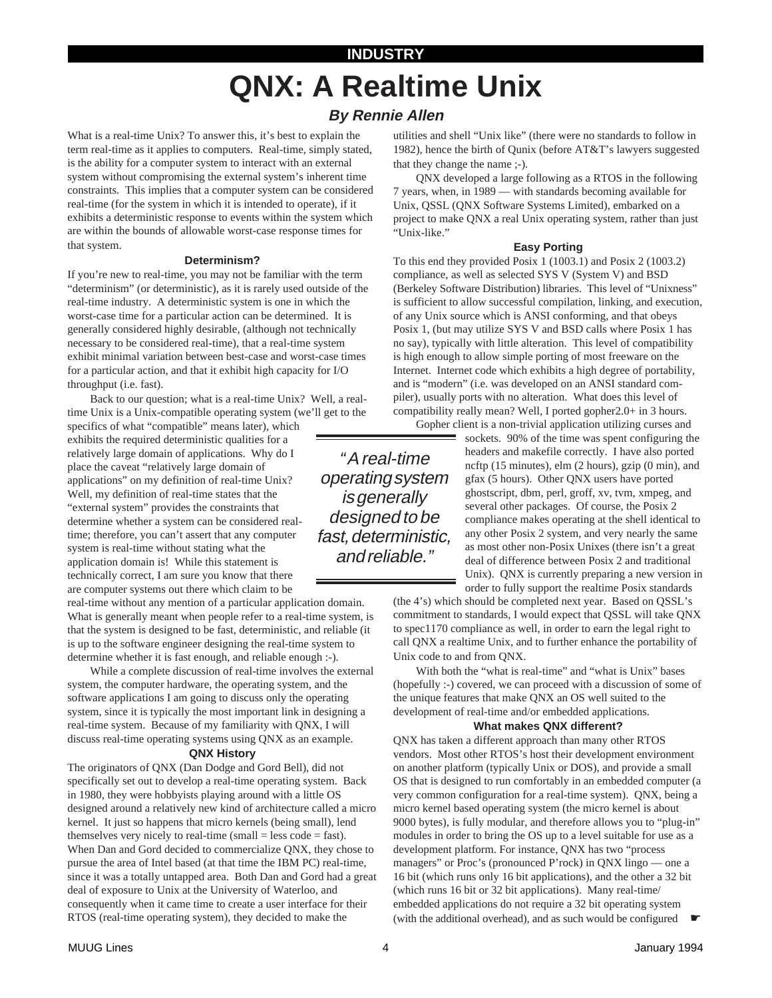# **QNX: A Realtime Unix INDUSTRY**

# **By Rennie Allen**

What is a real-time Unix? To answer this, it's best to explain the term real-time as it applies to computers. Real-time, simply stated, is the ability for a computer system to interact with an external system without compromising the external system's inherent time constraints. This implies that a computer system can be considered real-time (for the system in which it is intended to operate), if it exhibits a deterministic response to events within the system which are within the bounds of allowable worst-case response times for that system.

#### **Determinism?**

If you're new to real-time, you may not be familiar with the term "determinism" (or deterministic), as it is rarely used outside of the real-time industry. A deterministic system is one in which the worst-case time for a particular action can be determined. It is generally considered highly desirable, (although not technically necessary to be considered real-time), that a real-time system exhibit minimal variation between best-case and worst-case times for a particular action, and that it exhibit high capacity for I/O throughput (i.e. fast).

Back to our question; what is a real-time Unix? Well, a realtime Unix is a Unix-compatible operating system (we'll get to the

specifics of what "compatible" means later), which exhibits the required deterministic qualities for a relatively large domain of applications. Why do I place the caveat "relatively large domain of applications" on my definition of real-time Unix? Well, my definition of real-time states that the "external system" provides the constraints that determine whether a system can be considered realtime; therefore, you can't assert that any computer system is real-time without stating what the application domain is! While this statement is technically correct, I am sure you know that there are computer systems out there which claim to be

real-time without any mention of a particular application domain. What is generally meant when people refer to a real-time system, is that the system is designed to be fast, deterministic, and reliable (it is up to the software engineer designing the real-time system to determine whether it is fast enough, and reliable enough :-).

While a complete discussion of real-time involves the external system, the computer hardware, the operating system, and the software applications I am going to discuss only the operating system, since it is typically the most important link in designing a real-time system. Because of my familiarity with QNX, I will discuss real-time operating systems using QNX as an example.

#### **QNX History**

The originators of QNX (Dan Dodge and Gord Bell), did not specifically set out to develop a real-time operating system. Back in 1980, they were hobbyists playing around with a little OS designed around a relatively new kind of architecture called a micro kernel. It just so happens that micro kernels (being small), lend themselves very nicely to real-time (small  $=$  less code  $=$  fast). When Dan and Gord decided to commercialize QNX, they chose to pursue the area of Intel based (at that time the IBM PC) real-time, since it was a totally untapped area. Both Dan and Gord had a great deal of exposure to Unix at the University of Waterloo, and consequently when it came time to create a user interface for their RTOS (real-time operating system), they decided to make the

utilities and shell "Unix like" (there were no standards to follow in 1982), hence the birth of Qunix (before AT&T's lawyers suggested that they change the name ;-).

QNX developed a large following as a RTOS in the following 7 years, when, in 1989 — with standards becoming available for Unix, QSSL (QNX Software Systems Limited), embarked on a project to make QNX a real Unix operating system, rather than just "Unix-like."

#### **Easy Porting**

To this end they provided Posix 1 (1003.1) and Posix 2 (1003.2) compliance, as well as selected SYS V (System V) and BSD (Berkeley Software Distribution) libraries. This level of "Unixness" is sufficient to allow successful compilation, linking, and execution, of any Unix source which is ANSI conforming, and that obeys Posix 1, (but may utilize SYS V and BSD calls where Posix 1 has no say), typically with little alteration. This level of compatibility is high enough to allow simple porting of most freeware on the Internet. Internet code which exhibits a high degree of portability, and is "modern" (i.e. was developed on an ANSI standard compiler), usually ports with no alteration. What does this level of compatibility really mean? Well, I ported gopher2.0+ in 3 hours.

Gopher client is a non-trivial application utilizing curses and

" A real-time operating system is generally designed to be fast, deterministic, and reliable."

sockets. 90% of the time was spent configuring the headers and makefile correctly. I have also ported ncftp (15 minutes), elm (2 hours), gzip (0 min), and gfax (5 hours). Other QNX users have ported ghostscript, dbm, perl, groff, xv, tvm, xmpeg, and several other packages. Of course, the Posix 2 compliance makes operating at the shell identical to any other Posix 2 system, and very nearly the same as most other non-Posix Unixes (there isn't a great deal of difference between Posix 2 and traditional Unix). QNX is currently preparing a new version in order to fully support the realtime Posix standards

(the 4's) which should be completed next year. Based on QSSL's commitment to standards, I would expect that QSSL will take QNX to spec1170 compliance as well, in order to earn the legal right to call QNX a realtime Unix, and to further enhance the portability of Unix code to and from QNX.

With both the "what is real-time" and "what is Unix" bases (hopefully :-) covered, we can proceed with a discussion of some of the unique features that make QNX an OS well suited to the development of real-time and/or embedded applications.

#### **What makes QNX different?**

QNX has taken a different approach than many other RTOS vendors. Most other RTOS's host their development environment on another platform (typically Unix or DOS), and provide a small OS that is designed to run comfortably in an embedded computer (a very common configuration for a real-time system). QNX, being a micro kernel based operating system (the micro kernel is about 9000 bytes), is fully modular, and therefore allows you to "plug-in" modules in order to bring the OS up to a level suitable for use as a development platform. For instance, QNX has two "process managers" or Proc's (pronounced P'rock) in QNX lingo — one a 16 bit (which runs only 16 bit applications), and the other a 32 bit (which runs 16 bit or 32 bit applications). Many real-time/ embedded applications do not require a 32 bit operating system (with the additional overhead), and as such would be configured  $\bullet$ 

MUUG Lines **All and All and All and All and All and All and All and All and All and All and All and All and All and All and All and All and All and All and All and All and All and All and All and All and All and All and Al**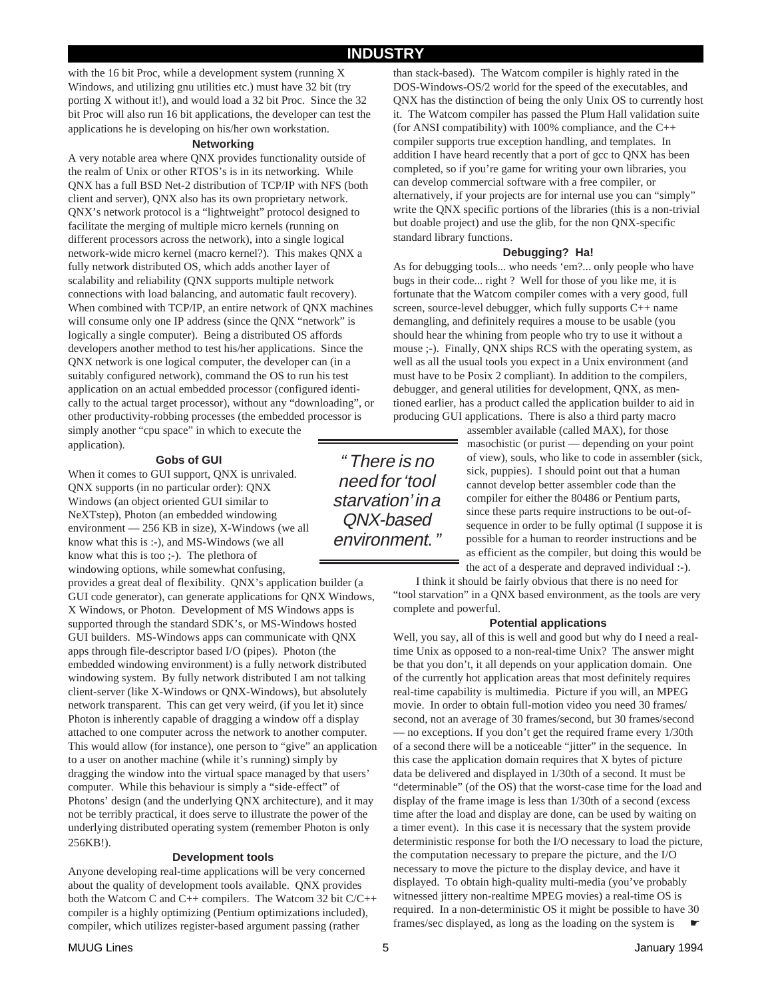### **INDUSTRY**

with the 16 bit Proc, while a development system (running X Windows, and utilizing gnu utilities etc.) must have 32 bit (try porting X without it!), and would load a 32 bit Proc. Since the 32 bit Proc will also run 16 bit applications, the developer can test the applications he is developing on his/her own workstation.

#### **Networking**

A very notable area where QNX provides functionality outside of the realm of Unix or other RTOS's is in its networking. While QNX has a full BSD Net-2 distribution of TCP/IP with NFS (both client and server), QNX also has its own proprietary network. QNX's network protocol is a "lightweight" protocol designed to facilitate the merging of multiple micro kernels (running on different processors across the network), into a single logical network-wide micro kernel (macro kernel?). This makes QNX a fully network distributed OS, which adds another layer of scalability and reliability (QNX supports multiple network connections with load balancing, and automatic fault recovery). When combined with TCP/IP, an entire network of QNX machines will consume only one IP address (since the QNX "network" is logically a single computer). Being a distributed OS affords developers another method to test his/her applications. Since the QNX network is one logical computer, the developer can (in a suitably configured network), command the OS to run his test application on an actual embedded processor (configured identically to the actual target processor), without any "downloading", or other productivity-robbing processes (the embedded processor is simply another "cpu space" in which to execute the application).

#### **Gobs of GUI**

When it comes to GUI support, QNX is unrivaled. QNX supports (in no particular order): QNX Windows (an object oriented GUI similar to NeXTstep), Photon (an embedded windowing environment — 256 KB in size), X-Windows (we all know what this is :-), and MS-Windows (we all know what this is too ;-). The plethora of windowing options, while somewhat confusing,

provides a great deal of flexibility. QNX's application builder (a GUI code generator), can generate applications for QNX Windows, X Windows, or Photon. Development of MS Windows apps is supported through the standard SDK's, or MS-Windows hosted GUI builders. MS-Windows apps can communicate with QNX apps through file-descriptor based I/O (pipes). Photon (the embedded windowing environment) is a fully network distributed windowing system. By fully network distributed I am not talking client-server (like X-Windows or QNX-Windows), but absolutely network transparent. This can get very weird, (if you let it) since Photon is inherently capable of dragging a window off a display attached to one computer across the network to another computer. This would allow (for instance), one person to "give" an application to a user on another machine (while it's running) simply by dragging the window into the virtual space managed by that users' computer. While this behaviour is simply a "side-effect" of Photons' design (and the underlying QNX architecture), and it may not be terribly practical, it does serve to illustrate the power of the underlying distributed operating system (remember Photon is only 256KB!).

#### **Development tools**

Anyone developing real-time applications will be very concerned about the quality of development tools available. QNX provides both the Watcom C and C++ compilers. The Watcom 32 bit C/C++ compiler is a highly optimizing (Pentium optimizations included), compiler, which utilizes register-based argument passing (rather

than stack-based). The Watcom compiler is highly rated in the DOS-Windows-OS/2 world for the speed of the executables, and QNX has the distinction of being the only Unix OS to currently host it. The Watcom compiler has passed the Plum Hall validation suite (for ANSI compatibility) with 100% compliance, and the C++ compiler supports true exception handling, and templates. In addition I have heard recently that a port of gcc to QNX has been completed, so if you're game for writing your own libraries, you can develop commercial software with a free compiler, or alternatively, if your projects are for internal use you can "simply" write the QNX specific portions of the libraries (this is a non-trivial but doable project) and use the glib, for the non QNX-specific standard library functions.

#### **Debugging? Ha!**

As for debugging tools... who needs 'em?... only people who have bugs in their code... right ? Well for those of you like me, it is fortunate that the Watcom compiler comes with a very good, full screen, source-level debugger, which fully supports C++ name demangling, and definitely requires a mouse to be usable (you should hear the whining from people who try to use it without a mouse ;-). Finally, QNX ships RCS with the operating system, as well as all the usual tools you expect in a Unix environment (and must have to be Posix 2 compliant). In addition to the compilers, debugger, and general utilities for development, QNX, as mentioned earlier, has a product called the application builder to aid in producing GUI applications. There is also a third party macro

> assembler available (called MAX), for those masochistic (or purist — depending on your point of view), souls, who like to code in assembler (sick, sick, puppies). I should point out that a human cannot develop better assembler code than the compiler for either the 80486 or Pentium parts, since these parts require instructions to be out-ofsequence in order to be fully optimal (I suppose it is possible for a human to reorder instructions and be as efficient as the compiler, but doing this would be the act of a desperate and depraved individual :-).

I think it should be fairly obvious that there is no need for "tool starvation" in a QNX based environment, as the tools are very complete and powerful.

#### **Potential applications**

Well, you say, all of this is well and good but why do I need a realtime Unix as opposed to a non-real-time Unix? The answer might be that you don't, it all depends on your application domain. One of the currently hot application areas that most definitely requires real-time capability is multimedia. Picture if you will, an MPEG movie. In order to obtain full-motion video you need 30 frames/ second, not an average of 30 frames/second, but 30 frames/second — no exceptions. If you don't get the required frame every 1/30th of a second there will be a noticeable "jitter" in the sequence. In this case the application domain requires that X bytes of picture data be delivered and displayed in 1/30th of a second. It must be "determinable" (of the OS) that the worst-case time for the load and display of the frame image is less than 1/30th of a second (excess time after the load and display are done, can be used by waiting on a timer event). In this case it is necessary that the system provide deterministic response for both the I/O necessary to load the picture, the computation necessary to prepare the picture, and the I/O necessary to move the picture to the display device, and have it displayed. To obtain high-quality multi-media (you've probably witnessed jittery non-realtime MPEG movies) a real-time OS is required. In a non-deterministic OS it might be possible to have 30 frames/sec displayed, as long as the loading on the system is

" There is no need for 'tool starvation' in a QNX-based environment. "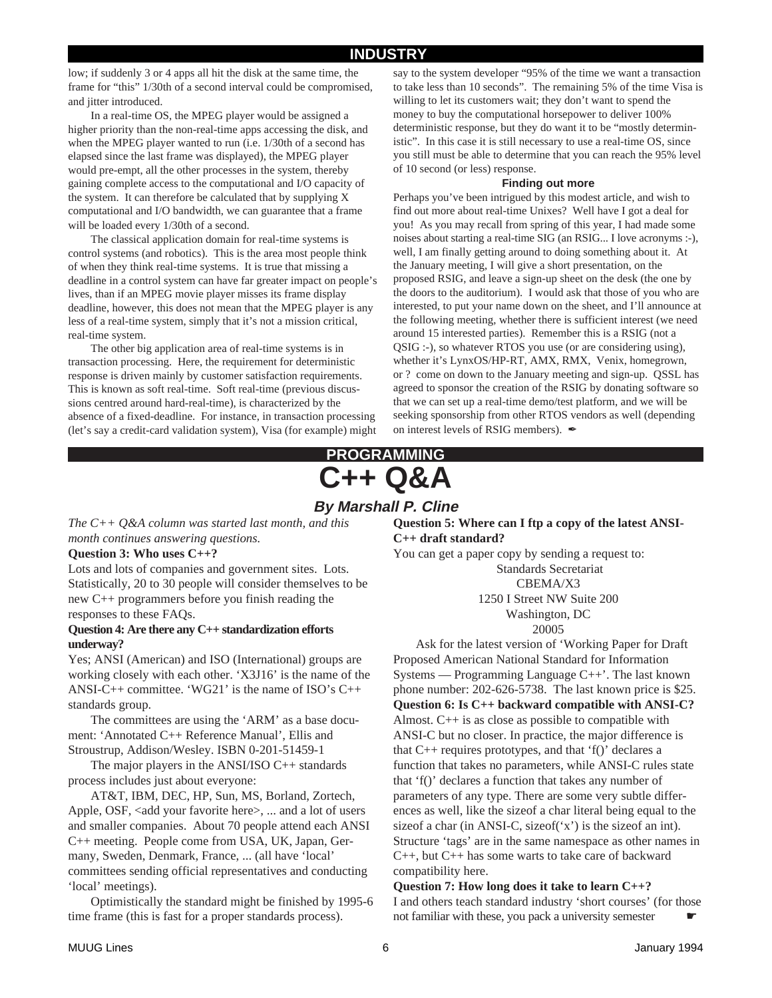# **INDUSTRY**

low; if suddenly 3 or 4 apps all hit the disk at the same time, the frame for "this" 1/30th of a second interval could be compromised, and jitter introduced.

In a real-time OS, the MPEG player would be assigned a higher priority than the non-real-time apps accessing the disk, and when the MPEG player wanted to run (i.e. 1/30th of a second has elapsed since the last frame was displayed), the MPEG player would pre-empt, all the other processes in the system, thereby gaining complete access to the computational and I/O capacity of the system. It can therefore be calculated that by supplying X computational and I/O bandwidth, we can guarantee that a frame will be loaded every 1/30th of a second.

The classical application domain for real-time systems is control systems (and robotics). This is the area most people think of when they think real-time systems. It is true that missing a deadline in a control system can have far greater impact on people's lives, than if an MPEG movie player misses its frame display deadline, however, this does not mean that the MPEG player is any less of a real-time system, simply that it's not a mission critical, real-time system.

The other big application area of real-time systems is in transaction processing. Here, the requirement for deterministic response is driven mainly by customer satisfaction requirements. This is known as soft real-time. Soft real-time (previous discussions centred around hard-real-time), is characterized by the absence of a fixed-deadline. For instance, in transaction processing (let's say a credit-card validation system), Visa (for example) might

say to the system developer "95% of the time we want a transaction to take less than 10 seconds". The remaining 5% of the time Visa is willing to let its customers wait; they don't want to spend the money to buy the computational horsepower to deliver 100% deterministic response, but they do want it to be "mostly deterministic". In this case it is still necessary to use a real-time OS, since you still must be able to determine that you can reach the 95% level of 10 second (or less) response.

#### **Finding out more**

Perhaps you've been intrigued by this modest article, and wish to find out more about real-time Unixes? Well have I got a deal for you! As you may recall from spring of this year, I had made some noises about starting a real-time SIG (an RSIG... I love acronyms :-), well, I am finally getting around to doing something about it. At the January meeting, I will give a short presentation, on the proposed RSIG, and leave a sign-up sheet on the desk (the one by the doors to the auditorium). I would ask that those of you who are interested, to put your name down on the sheet, and I'll announce at the following meeting, whether there is sufficient interest (we need around 15 interested parties). Remember this is a RSIG (not a QSIG :-), so whatever RTOS you use (or are considering using), whether it's LynxOS/HP-RT, AMX, RMX, Venix, homegrown, or ? come on down to the January meeting and sign-up. QSSL has agreed to sponsor the creation of the RSIG by donating software so that we can set up a real-time demo/test platform, and we will be seeking sponsorship from other RTOS vendors as well (depending on interest levels of RSIG members).  $\mathscr I$ 

# **C++ Q&A PROGRAMMING**

# **By Marshall P. Cline**

*The C++ Q&A column was started last month, and this month continues answering questions.*

### **Question 3: Who uses C++?**

Lots and lots of companies and government sites. Lots. Statistically, 20 to 30 people will consider themselves to be new C++ programmers before you finish reading the responses to these FAQs.

#### **Question 4: Are there any C++ standardization efforts underway?**

Yes; ANSI (American) and ISO (International) groups are working closely with each other. 'X3J16' is the name of the ANSI-C++ committee. 'WG21' is the name of ISO's  $C_{++}$ standards group.

The committees are using the 'ARM' as a base document: 'Annotated C++ Reference Manual', Ellis and Stroustrup, Addison/Wesley. ISBN 0-201-51459-1

The major players in the ANSI/ISO  $C_{++}$  standards process includes just about everyone:

AT&T, IBM, DEC, HP, Sun, MS, Borland, Zortech, Apple, OSF, <add your favorite here>, ... and a lot of users and smaller companies. About 70 people attend each ANSI C++ meeting. People come from USA, UK, Japan, Germany, Sweden, Denmark, France, ... (all have 'local' committees sending official representatives and conducting 'local' meetings).

Optimistically the standard might be finished by 1995-6 time frame (this is fast for a proper standards process).

**Question 5: Where can I ftp a copy of the latest ANSI-C++ draft standard?**

You can get a paper copy by sending a request to: Standards Secretariat CBEMA/X3

1250 I Street NW Suite 200

Washington, DC

20005

Ask for the latest version of 'Working Paper for Draft Proposed American National Standard for Information Systems — Programming Language C++'. The last known phone number: 202-626-5738. The last known price is \$25. **Question 6: Is C++ backward compatible with ANSI-C?** Almost. C++ is as close as possible to compatible with ANSI-C but no closer. In practice, the major difference is that  $C_{++}$  requires prototypes, and that 'f()' declares a function that takes no parameters, while ANSI-C rules state that 'f()' declares a function that takes any number of parameters of any type. There are some very subtle differences as well, like the sizeof a char literal being equal to the sizeof a char (in ANSI-C, sizeof('x') is the sizeof an int). Structure 'tags' are in the same namespace as other names in C++, but C++ has some warts to take care of backward compatibility here.

**Question 7: How long does it take to learn C++?** I and others teach standard industry 'short courses' (for those not familiar with these, you pack a university semester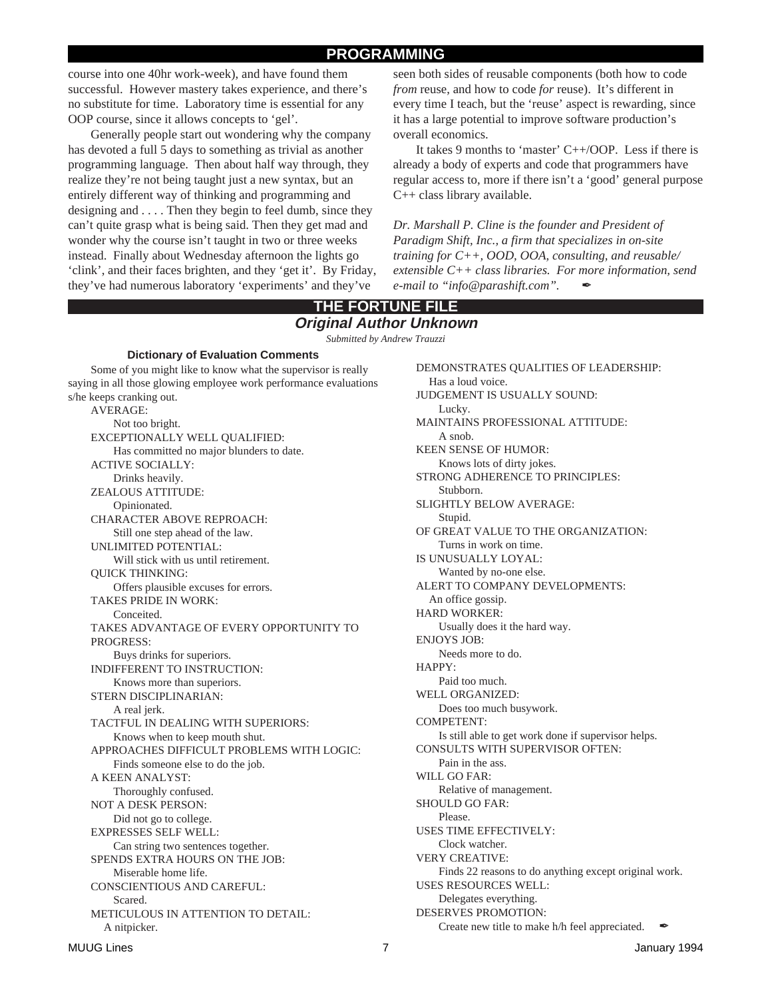### **PROGRAMMING**

course into one 40hr work-week), and have found them successful. However mastery takes experience, and there's no substitute for time. Laboratory time is essential for any OOP course, since it allows concepts to 'gel'.

Generally people start out wondering why the company has devoted a full 5 days to something as trivial as another programming language. Then about half way through, they realize they're not being taught just a new syntax, but an entirely different way of thinking and programming and designing and .... Then they begin to feel dumb, since they can't quite grasp what is being said. Then they get mad and wonder why the course isn't taught in two or three weeks instead. Finally about Wednesday afternoon the lights go 'clink', and their faces brighten, and they 'get it'. By Friday, they've had numerous laboratory 'experiments' and they've

seen both sides of reusable components (both how to code *from* reuse, and how to code *for* reuse). It's different in every time I teach, but the 'reuse' aspect is rewarding, since it has a large potential to improve software production's overall economics.

It takes 9 months to 'master' C++/OOP. Less if there is already a body of experts and code that programmers have regular access to, more if there isn't a 'good' general purpose C++ class library available.

*Dr. Marshall P. Cline is the founder and President of Paradigm Shift, Inc., a firm that specializes in on-site training for C++, OOD, OOA, consulting, and reusable/ extensible C++ class libraries. For more information, send e-mail to "info@parashift.com".* ✒

#### **THE FORTUNE FILE Original Author Unknown**

*Submitted by Andrew Trauzzi*

#### **Dictionary of Evaluation Comments**

Some of you might like to know what the supervisor is really saying in all those glowing employee work performance evaluations s/he keeps cranking out.

AVERAGE: Not too bright. EXCEPTIONALLY WELL QUALIFIED: Has committed no major blunders to date. ACTIVE SOCIALLY: Drinks heavily. ZEALOUS ATTITUDE: Opinionated. CHARACTER ABOVE REPROACH: Still one step ahead of the law. UNLIMITED POTENTIAL: Will stick with us until retirement. QUICK THINKING: Offers plausible excuses for errors. TAKES PRIDE IN WORK: Conceited. TAKES ADVANTAGE OF EVERY OPPORTUNITY TO PROGRESS: Buys drinks for superiors. INDIFFERENT TO INSTRUCTION: Knows more than superiors. STERN DISCIPLINARIAN: A real jerk. TACTFUL IN DEALING WITH SUPERIORS: Knows when to keep mouth shut. APPROACHES DIFFICULT PROBLEMS WITH LOGIC: Finds someone else to do the job. A KEEN ANALYST: Thoroughly confused. NOT A DESK PERSON: Did not go to college. EXPRESSES SELF WELL: Can string two sentences together. SPENDS EXTRA HOURS ON THE JOB: Miserable home life. CONSCIENTIOUS AND CAREFUL: Scared. METICULOUS IN ATTENTION TO DETAIL: A nitpicker.

DEMONSTRATES QUALITIES OF LEADERSHIP: Has a loud voice. JUDGEMENT IS USUALLY SOUND: Lucky. MAINTAINS PROFESSIONAL ATTITUDE: A snob. KEEN SENSE OF HUMOR: Knows lots of dirty jokes. STRONG ADHERENCE TO PRINCIPLES: Stubborn. SLIGHTLY BELOW AVERAGE: Stupid. OF GREAT VALUE TO THE ORGANIZATION: Turns in work on time. IS UNUSUALLY LOYAL: Wanted by no-one else. ALERT TO COMPANY DEVELOPMENTS: An office gossip. HARD WORKER: Usually does it the hard way. ENJOYS JOB: Needs more to do. HAPPY: Paid too much. WELL ORGANIZED: Does too much busywork. COMPETENT: Is still able to get work done if supervisor helps. CONSULTS WITH SUPERVISOR OFTEN: Pain in the ass. WILL GO FAR: Relative of management. SHOULD GO FAR: Please. USES TIME EFFECTIVELY: Clock watcher. VERY CREATIVE: Finds 22 reasons to do anything except original work. USES RESOURCES WELL: Delegates everything. DESERVES PROMOTION: Create new title to make  $h/h$  feel appreciated.  $\blacktriangle$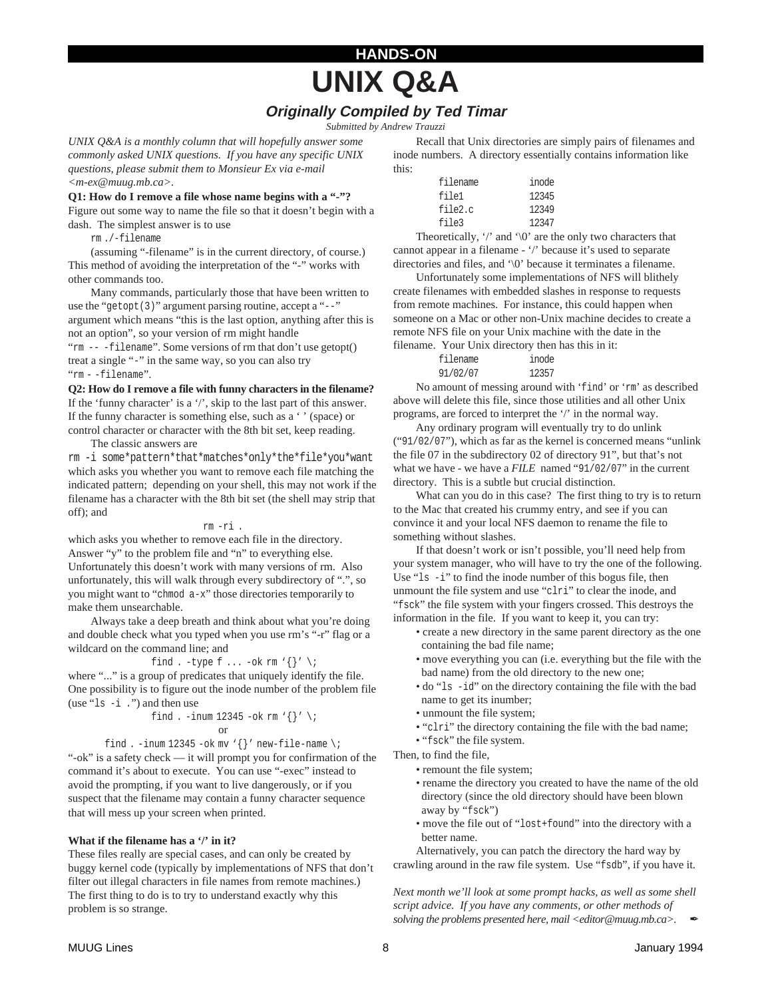# **UNIX Q&A**

**HANDS-ON**

# **Originally Compiled by Ted Timar**

*Submitted by Andrew Trauzzi*

*UNIX Q&A is a monthly column that will hopefully answer some commonly asked UNIX questions. If you have any specific UNIX questions, please submit them to Monsieur Ex via e-mail <m-ex@muug.mb.ca>.*

**Q1: How do I remove a file whose name begins with a "-"?** Figure out some way to name the file so that it doesn't begin with a

dash. The simplest answer is to use

rm ./-filename

(assuming "-filename" is in the current directory, of course.) This method of avoiding the interpretation of the "-" works with other commands too.

Many commands, particularly those that have been written to use the "getopt(3)" argument parsing routine, accept a "--" argument which means "this is the last option, anything after this is not an option", so your version of rm might handle "rm -- -filename". Some versions of rm that don't use getopt() treat a single "-" in the same way, so you can also try "rm - -filename".

**Q2: How do I remove a file with funny characters in the filename?** If the 'funny character' is a '/', skip to the last part of this answer. If the funny character is something else, such as a ' ' (space) or

control character or character with the 8th bit set, keep reading. The classic answers are

rm -i some\*pattern\*that\*matches\*only\*the\*file\*you\*want which asks you whether you want to remove each file matching the indicated pattern; depending on your shell, this may not work if the filename has a character with the 8th bit set (the shell may strip that off); and

#### rm -ri .

which asks you whether to remove each file in the directory. Answer "y" to the problem file and "n" to everything else. Unfortunately this doesn't work with many versions of rm. Also unfortunately, this will walk through every subdirectory of ".", so you might want to "chmod a-x" those directories temporarily to make them unsearchable.

Always take a deep breath and think about what you're doing and double check what you typed when you use rm's "-r" flag or a wildcard on the command line; and

find . -type f ... -ok rm  $\{\}^{\prime}$  \;

where "..." is a group of predicates that uniquely identify the file. One possibility is to figure out the inode number of the problem file (use "ls -i .") and then use

find . -inum 12345 -ok rm 
$$
\{\}'
$$
 \i  
or

find . -inum 12345 -ok mv ' $\{\}$ ' new-file-name \;

"-ok" is a safety check — it will prompt you for confirmation of the command it's about to execute. You can use "-exec" instead to avoid the prompting, if you want to live dangerously, or if you suspect that the filename may contain a funny character sequence that will mess up your screen when printed.

#### **What if the filename has a '/' in it?**

These files really are special cases, and can only be created by buggy kernel code (typically by implementations of NFS that don't filter out illegal characters in file names from remote machines.) The first thing to do is to try to understand exactly why this problem is so strange.

Recall that Unix directories are simply pairs of filenames and inode numbers. A directory essentially contains information like this:

| filename | inode |
|----------|-------|
| file1    | 12345 |
| file2.c  | 12349 |
| file3    | 12347 |

Theoretically, '/' and '\0' are the only two characters that cannot appear in a filename - '/' because it's used to separate directories and files, and '\0' because it terminates a filename.

Unfortunately some implementations of NFS will blithely create filenames with embedded slashes in response to requests from remote machines. For instance, this could happen when someone on a Mac or other non-Unix machine decides to create a remote NFS file on your Unix machine with the date in the filename. Your Unix directory then has this in it:

| filename | inode |
|----------|-------|
| 91/02/07 | 12357 |

No amount of messing around with 'find' or 'rm' as described above will delete this file, since those utilities and all other Unix programs, are forced to interpret the '/' in the normal way.

Any ordinary program will eventually try to do unlink ("91/02/07"), which as far as the kernel is concerned means "unlink the file 07 in the subdirectory 02 of directory 91", but that's not what we have - we have a *FILE* named "91/02/07" in the current directory. This is a subtle but crucial distinction.

What can you do in this case? The first thing to try is to return to the Mac that created his crummy entry, and see if you can convince it and your local NFS daemon to rename the file to something without slashes.

If that doesn't work or isn't possible, you'll need help from your system manager, who will have to try the one of the following. Use "ls -i" to find the inode number of this bogus file, then unmount the file system and use "clri" to clear the inode, and "fsck" the file system with your fingers crossed. This destroys the information in the file. If you want to keep it, you can try:

- create a new directory in the same parent directory as the one containing the bad file name;
- move everything you can (i.e. everything but the file with the bad name) from the old directory to the new one;
- do "ls -id" on the directory containing the file with the bad name to get its inumber;
- unmount the file system;
- "clri" the directory containing the file with the bad name;
- "fsck" the file system.

Then, to find the file,

- remount the file system;
- rename the directory you created to have the name of the old directory (since the old directory should have been blown away by "fsck")
- move the file out of "lost+found" into the directory with a better name.

Alternatively, you can patch the directory the hard way by crawling around in the raw file system. Use "fsdb", if you have it.

*Next month we'll look at some prompt hacks, as well as some shell script advice. If you have any comments, or other methods of solving the problems presented here, mail <editor@muug.mb.ca>.*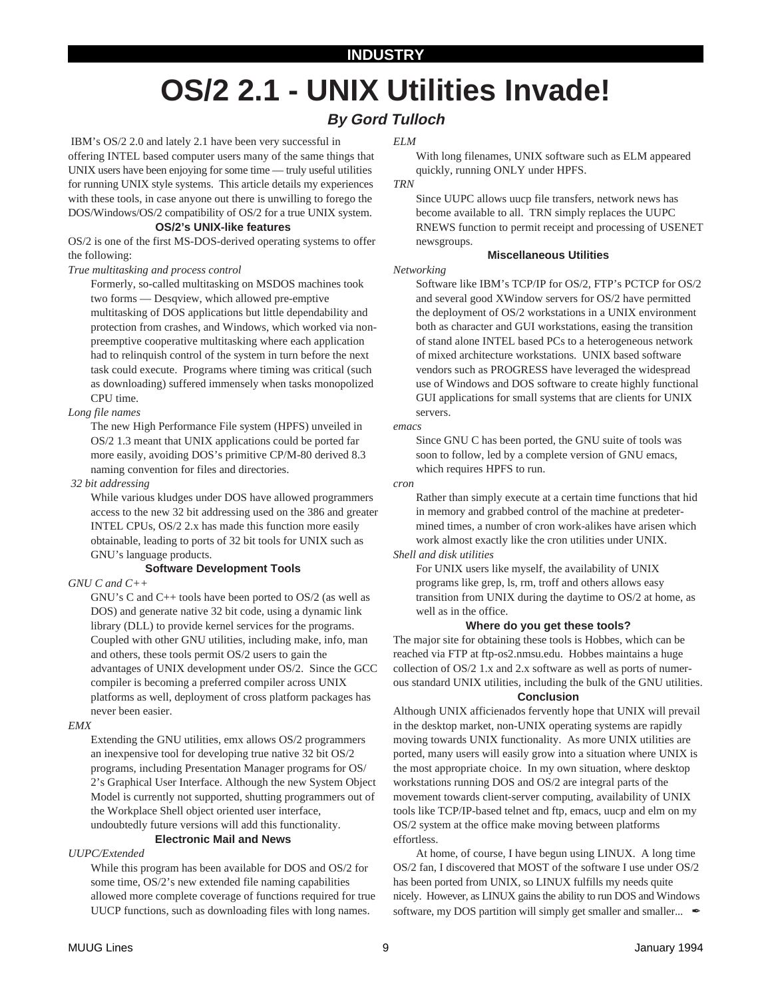# **INDUSTRY**

# **OS/2 2.1 - UNIX Utilities Invade!**

# **By Gord Tulloch**

 IBM's OS/2 2.0 and lately 2.1 have been very successful in offering INTEL based computer users many of the same things that UNIX users have been enjoying for some time — truly useful utilities for running UNIX style systems. This article details my experiences with these tools, in case anyone out there is unwilling to forego the DOS/Windows/OS/2 compatibility of OS/2 for a true UNIX system.

#### **OS/2's UNIX-like features**

OS/2 is one of the first MS-DOS-derived operating systems to offer the following:

#### *True multitasking and process control*

Formerly, so-called multitasking on MSDOS machines took two forms — Desqview, which allowed pre-emptive multitasking of DOS applications but little dependability and protection from crashes, and Windows, which worked via nonpreemptive cooperative multitasking where each application had to relinquish control of the system in turn before the next task could execute. Programs where timing was critical (such as downloading) suffered immensely when tasks monopolized CPU time.

#### *Long file names*

The new High Performance File system (HPFS) unveiled in OS/2 1.3 meant that UNIX applications could be ported far more easily, avoiding DOS's primitive CP/M-80 derived 8.3 naming convention for files and directories.

#### *32 bit addressing*

While various kludges under DOS have allowed programmers access to the new 32 bit addressing used on the 386 and greater INTEL CPUs, OS/2 2.x has made this function more easily obtainable, leading to ports of 32 bit tools for UNIX such as GNU's language products.

#### **Software Development Tools**

#### *GNU C and C++*

GNU's C and C++ tools have been ported to OS/2 (as well as DOS) and generate native 32 bit code, using a dynamic link library (DLL) to provide kernel services for the programs. Coupled with other GNU utilities, including make, info, man and others, these tools permit OS/2 users to gain the advantages of UNIX development under OS/2. Since the GCC compiler is becoming a preferred compiler across UNIX platforms as well, deployment of cross platform packages has never been easier.

#### *EMX*

Extending the GNU utilities, emx allows OS/2 programmers an inexpensive tool for developing true native 32 bit OS/2 programs, including Presentation Manager programs for OS/ 2's Graphical User Interface. Although the new System Object Model is currently not supported, shutting programmers out of the Workplace Shell object oriented user interface, undoubtedly future versions will add this functionality.

### **Electronic Mail and News**

#### *UUPC/Extended*

While this program has been available for DOS and OS/2 for some time, OS/2's new extended file naming capabilities allowed more complete coverage of functions required for true UUCP functions, such as downloading files with long names.

#### *ELM*

With long filenames, UNIX software such as ELM appeared quickly, running ONLY under HPFS.

#### *TRN*

Since UUPC allows uucp file transfers, network news has become available to all. TRN simply replaces the UUPC RNEWS function to permit receipt and processing of USENET newsgroups.

#### **Miscellaneous Utilities**

*Networking*

Software like IBM's TCP/IP for OS/2, FTP's PCTCP for OS/2 and several good XWindow servers for OS/2 have permitted the deployment of OS/2 workstations in a UNIX environment both as character and GUI workstations, easing the transition of stand alone INTEL based PCs to a heterogeneous network of mixed architecture workstations. UNIX based software vendors such as PROGRESS have leveraged the widespread use of Windows and DOS software to create highly functional GUI applications for small systems that are clients for UNIX servers.

#### *emacs*

Since GNU C has been ported, the GNU suite of tools was soon to follow, led by a complete version of GNU emacs, which requires HPFS to run.

#### *cron*

Rather than simply execute at a certain time functions that hid in memory and grabbed control of the machine at predetermined times, a number of cron work-alikes have arisen which work almost exactly like the cron utilities under UNIX.

#### *Shell and disk utilities*

For UNIX users like myself, the availability of UNIX programs like grep, ls, rm, troff and others allows easy transition from UNIX during the daytime to OS/2 at home, as well as in the office.

#### **Where do you get these tools?**

The major site for obtaining these tools is Hobbes, which can be reached via FTP at ftp-os2.nmsu.edu. Hobbes maintains a huge collection of OS/2 1.x and 2.x software as well as ports of numerous standard UNIX utilities, including the bulk of the GNU utilities.

#### **Conclusion**

Although UNIX afficienados fervently hope that UNIX will prevail in the desktop market, non-UNIX operating systems are rapidly moving towards UNIX functionality. As more UNIX utilities are ported, many users will easily grow into a situation where UNIX is the most appropriate choice. In my own situation, where desktop workstations running DOS and OS/2 are integral parts of the movement towards client-server computing, availability of UNIX tools like TCP/IP-based telnet and ftp, emacs, uucp and elm on my OS/2 system at the office make moving between platforms effortless.

At home, of course, I have begun using LINUX. A long time OS/2 fan, I discovered that MOST of the software I use under OS/2 has been ported from UNIX, so LINUX fulfills my needs quite nicely. However, as LINUX gains the ability to run DOS and Windows software, my DOS partition will simply get smaller and smaller...  $\mathscr{L}$